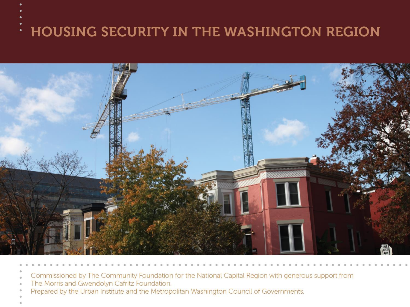#### **HOUSING SECURITY IN THE WASHINGTON REGION** ۰



- Commissioned by The Community Foundation for the National Capital Region with generous support from
- The Morris and Gwendolyn Cafritz Foundation.
- Prepared by the Urban Institute and the Metropolitan Washington Council of Governments.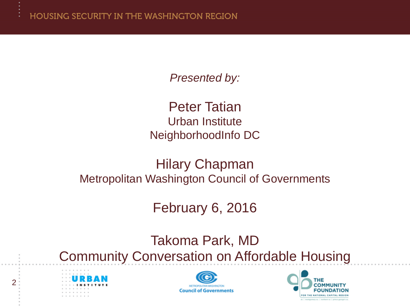*Presented by:*

Peter Tatian Urban Institute NeighborhoodInfo DC

Hilary Chapman Metropolitan Washington Council of Governments

February 6, 2016

Takoma Park, MD Community Conversation on Affordable Housing





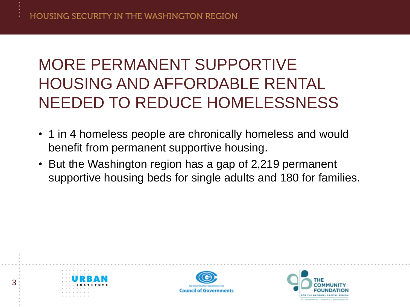# MORE PERMANENT SUPPORTIVE HOUSING AND AFFORDABLE RENTAL NEEDED TO REDUCE HOMELESSNESS

- 1 in 4 homeless people are chronically homeless and would benefit from permanent supportive housing.
- But the Washington region has a gap of 2,219 permanent supportive housing beds for single adults and 180 for families.





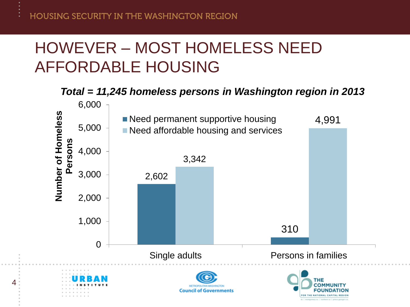## HOWEVER – MOST HOMELESS NEED AFFORDABLE HOUSING

#### *Total = 11,245 homeless persons in Washington region in 2013*

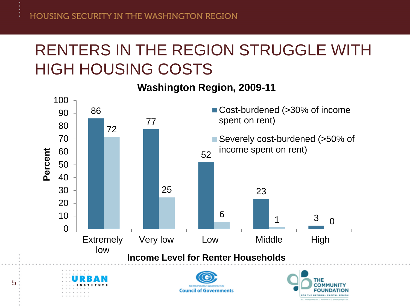#### RENTERS IN THE REGION STRUGGLE WITH HIGH HOUSING COSTS

#### **Washington Region, 2009-11**



OR THE NATIONAL CAPITAL REGION

5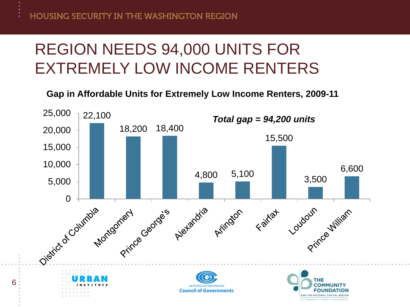6

### REGION NEEDS 94,000 UNITS FOR EXTREMELY LOW INCOME RENTERS

**Gap in Affordable Units for Extremely Low Income Renters, 2009-11**

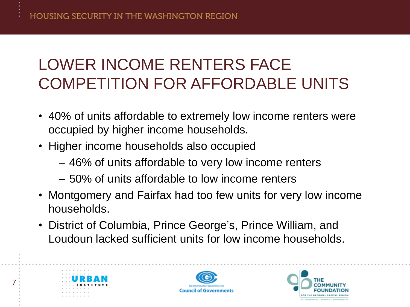# LOWER INCOME RENTERS FACE COMPETITION FOR AFFORDABLE UNITS

- 40% of units affordable to extremely low income renters were occupied by higher income households.
- Higher income households also occupied
	- 46% of units affordable to very low income renters
	- 50% of units affordable to low income renters
- Montgomery and Fairfax had too few units for very low income households.
- District of Columbia, Prince George's, Prince William, and Loudoun lacked sufficient units for low income households.



7



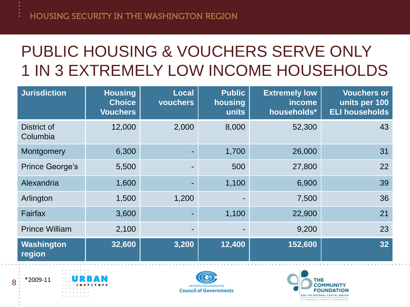# PUBLIC HOUSING & VOUCHERS SERVE ONLY 1 IN 3 EXTREMELY LOW INCOME HOUSEHOLDS

| <b>Jurisdiction</b>     | <b>Housing</b><br><b>Choice</b><br><b>Vouchers</b> | <b>Local</b><br>vouchers | <b>Public</b><br>housing<br>units | <b>Extremely low</b><br>income<br>households* | <b>Vouchers or</b><br>units per 100<br><b>ELI households</b> |
|-------------------------|----------------------------------------------------|--------------------------|-----------------------------------|-----------------------------------------------|--------------------------------------------------------------|
| District of<br>Columbia | 12,000                                             | 2,000                    | 8,000                             | 52,300                                        | 43                                                           |
| Montgomery              | 6,300                                              |                          | 1,700                             | 26,000                                        | 31                                                           |
| <b>Prince George's</b>  | 5,500                                              |                          | 500                               | 27,800                                        | 22                                                           |
| Alexandria              | 1,600                                              |                          | 1,100                             | 6,900                                         | 39                                                           |
| Arlington               | 1,500                                              | 1,200                    |                                   | 7,500                                         | 36                                                           |
| Fairfax                 | 3,600                                              | ۰.                       | 1,100                             | 22,900                                        | 21                                                           |
| <b>Prince William</b>   | 2,100                                              |                          |                                   | 9,200                                         | 23                                                           |
| Washington<br>region    | $\overline{32,600}$                                | 3,200                    | 12,400                            | 152,600                                       | 32 <sub>2</sub>                                              |





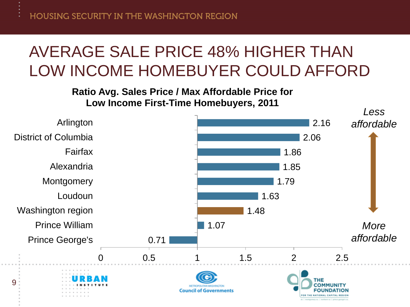## AVERAGE SALE PRICE 48% HIGHER THAN LOW INCOME HOMEBUYER COULD AFFORD

**Ratio Avg. Sales Price / Max Affordable Price for Low Income First-Time Homebuyers, 2011**

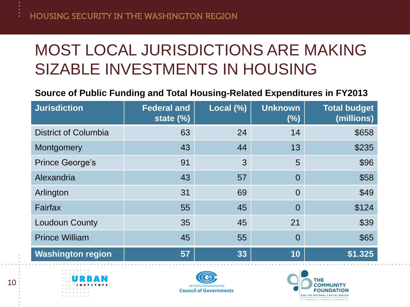## MOST LOCAL JURISDICTIONS ARE MAKING SIZABLE INVESTMENTS IN HOUSING

#### **Source of Public Funding and Total Housing-Related Expenditures in FY2013**

| <b>Jurisdiction</b>         | <b>Federal and</b><br>state $(\%)$ | Local (%) | <b>Unknown</b><br>(%) | <b>Total budget</b><br>(millions) |
|-----------------------------|------------------------------------|-----------|-----------------------|-----------------------------------|
| <b>District of Columbia</b> | 63                                 | 24        | 14                    | \$658                             |
| Montgomery                  | 43                                 | 44        | 13                    | \$235                             |
| <b>Prince George's</b>      | 91                                 | 3         | 5                     | \$96                              |
| Alexandria                  | 43                                 | 57        | $\overline{0}$        | \$58                              |
| Arlington                   | 31                                 | 69        | $\overline{0}$        | \$49                              |
| Fairfax                     | 55                                 | 45        | $\overline{0}$        | \$124                             |
| <b>Loudoun County</b>       | 35                                 | 45        | 21                    | \$39                              |
| <b>Prince William</b>       | 45                                 | 55        | $\overline{0}$        | \$65                              |
| <b>Washington region</b>    | 57                                 | 33        | 10                    | \$1.325                           |





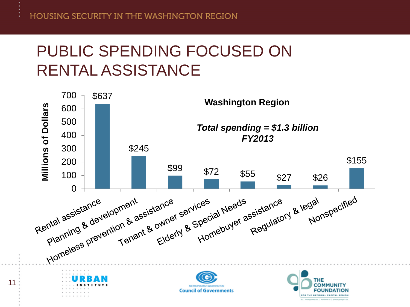11

### PUBLIC SPENDING FOCUSED ON RENTAL ASSISTANCE

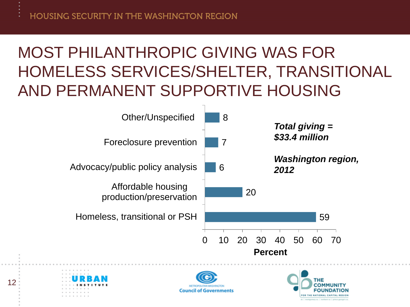# MOST PHILANTHROPIC GIVING WAS FOR HOMELESS SERVICES/SHELTER, TRANSITIONAL AND PERMANENT SUPPORTIVE HOUSING